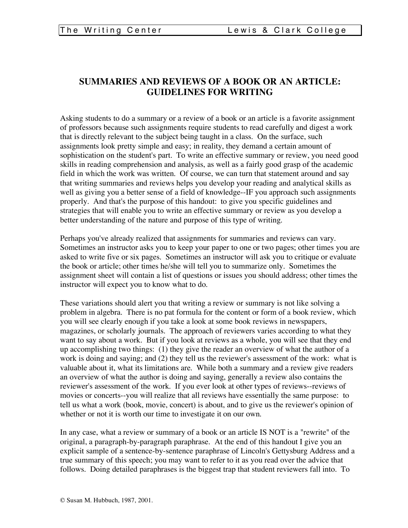# **SUMMARIES AND REVIEWS OF A BOOK OR AN ARTICLE: GUIDELINES FOR WRITING**

Asking students to do a summary or a review of a book or an article is a favorite assignment of professors because such assignments require students to read carefully and digest a work that is directly relevant to the subject being taught in a class. On the surface, such assignments look pretty simple and easy; in reality, they demand a certain amount of sophistication on the student's part. To write an effective summary or review, you need good skills in reading comprehension and analysis, as well as a fairly good grasp of the academic field in which the work was written. Of course, we can turn that statement around and say that writing summaries and reviews helps you develop your reading and analytical skills as well as giving you a better sense of a field of knowledge--IF you approach such assignments properly. And that's the purpose of this handout: to give you specific guidelines and strategies that will enable you to write an effective summary or review as you develop a better understanding of the nature and purpose of this type of writing.

Perhaps you've already realized that assignments for summaries and reviews can vary. Sometimes an instructor asks you to keep your paper to one or two pages; other times you are asked to write five or six pages. Sometimes an instructor will ask you to critique or evaluate the book or article; other times he/she will tell you to summarize only. Sometimes the assignment sheet will contain a list of questions or issues you should address; other times the instructor will expect you to know what to do.

These variations should alert you that writing a review or summary is not like solving a problem in algebra. There is no pat formula for the content or form of a book review, which you will see clearly enough if you take a look at some book reviews in newspapers, magazines, or scholarly journals. The approach of reviewers varies according to what they want to say about a work. But if you look at reviews as a whole, you will see that they end up accomplishing two things: (1) they give the reader an overview of what the author of a work is doing and saying; and (2) they tell us the reviewer's assessment of the work: what is valuable about it, what its limitations are. While both a summary and a review give readers an overview of what the author is doing and saying, generally a review also contains the reviewer's assessment of the work. If you ever look at other types of reviews--reviews of movies or concerts--you will realize that all reviews have essentially the same purpose: to tell us what a work (book, movie, concert) is about, and to give us the reviewer's opinion of whether or not it is worth our time to investigate it on our own.

In any case, what a review or summary of a book or an article IS NOT is a "rewrite" of the original, a paragraph-by-paragraph paraphrase. At the end of this handout I give you an explicit sample of a sentence-by-sentence paraphrase of Lincoln's Gettysburg Address and a true summary of this speech; you may want to refer to it as you read over the advice that follows. Doing detailed paraphrases is the biggest trap that student reviewers fall into. To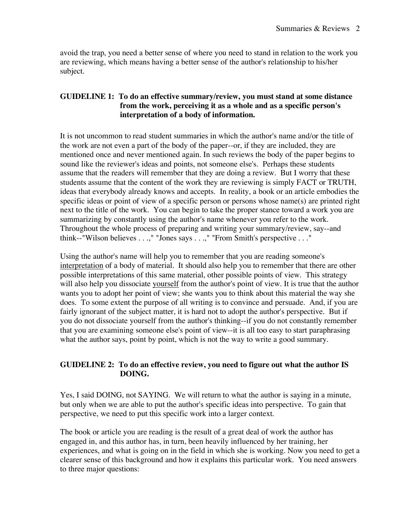avoid the trap, you need a better sense of where you need to stand in relation to the work you are reviewing, which means having a better sense of the author's relationship to his/her subject.

### **GUIDELINE 1: To do an effective summary/review, you must stand at some distance from the work, perceiving it as a whole and as a specific person's interpretation of a body of information.**

It is not uncommon to read student summaries in which the author's name and/or the title of the work are not even a part of the body of the paper--or, if they are included, they are mentioned once and never mentioned again. In such reviews the body of the paper begins to sound like the reviewer's ideas and points, not someone else's. Perhaps these students assume that the readers will remember that they are doing a review. But I worry that these students assume that the content of the work they are reviewing is simply FACT or TRUTH, ideas that everybody already knows and accepts. In reality, a book or an article embodies the specific ideas or point of view of a specific person or persons whose name(s) are printed right next to the title of the work. You can begin to take the proper stance toward a work you are summarizing by constantly using the author's name whenever you refer to the work. Throughout the whole process of preparing and writing your summary/review, say--and think--"Wilson believes . . .," "Jones says . . .," "From Smith's perspective . . ."

Using the author's name will help you to remember that you are reading someone's interpretation of a body of material. It should also help you to remember that there are other possible interpretations of this same material, other possible points of view. This strategy will also help you dissociate yourself from the author's point of view. It is true that the author wants you to adopt her point of view; she wants you to think about this material the way she does. To some extent the purpose of all writing is to convince and persuade. And, if you are fairly ignorant of the subject matter, it is hard not to adopt the author's perspective. But if you do not dissociate yourself from the author's thinking--if you do not constantly remember that you are examining someone else's point of view--it is all too easy to start paraphrasing what the author says, point by point, which is not the way to write a good summary.

## **GUIDELINE 2: To do an effective review, you need to figure out what the author IS DOING.**

Yes, I said DOING, not SAYING. We will return to what the author is saying in a minute, but only when we are able to put the author's specific ideas into perspective. To gain that perspective, we need to put this specific work into a larger context.

The book or article you are reading is the result of a great deal of work the author has engaged in, and this author has, in turn, been heavily influenced by her training, her experiences, and what is going on in the field in which she is working. Now you need to get a clearer sense of this background and how it explains this particular work. You need answers to three major questions: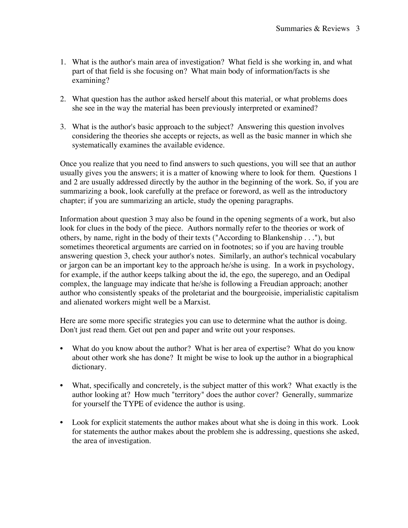- 1. What is the author's main area of investigation? What field is she working in, and what part of that field is she focusing on? What main body of information/facts is she examining?
- 2. What question has the author asked herself about this material, or what problems does she see in the way the material has been previously interpreted or examined?
- 3. What is the author's basic approach to the subject? Answering this question involves considering the theories she accepts or rejects, as well as the basic manner in which she systematically examines the available evidence.

Once you realize that you need to find answers to such questions, you will see that an author usually gives you the answers; it is a matter of knowing where to look for them. Questions 1 and 2 are usually addressed directly by the author in the beginning of the work. So, if you are summarizing a book, look carefully at the preface or foreword, as well as the introductory chapter; if you are summarizing an article, study the opening paragraphs.

Information about question 3 may also be found in the opening segments of a work, but also look for clues in the body of the piece. Authors normally refer to the theories or work of others, by name, right in the body of their texts ("According to Blankenship . . ."), but sometimes theoretical arguments are carried on in footnotes; so if you are having trouble answering question 3, check your author's notes. Similarly, an author's technical vocabulary or jargon can be an important key to the approach he/she is using. In a work in psychology, for example, if the author keeps talking about the id, the ego, the superego, and an Oedipal complex, the language may indicate that he/she is following a Freudian approach; another author who consistently speaks of the proletariat and the bourgeoisie, imperialistic capitalism and alienated workers might well be a Marxist.

Here are some more specific strategies you can use to determine what the author is doing. Don't just read them. Get out pen and paper and write out your responses.

- What do you know about the author? What is her area of expertise? What do you know about other work she has done? It might be wise to look up the author in a biographical dictionary.
- What, specifically and concretely, is the subject matter of this work? What exactly is the author looking at? How much "territory" does the author cover? Generally, summarize for yourself the TYPE of evidence the author is using.
- Look for explicit statements the author makes about what she is doing in this work. Look for statements the author makes about the problem she is addressing, questions she asked, the area of investigation.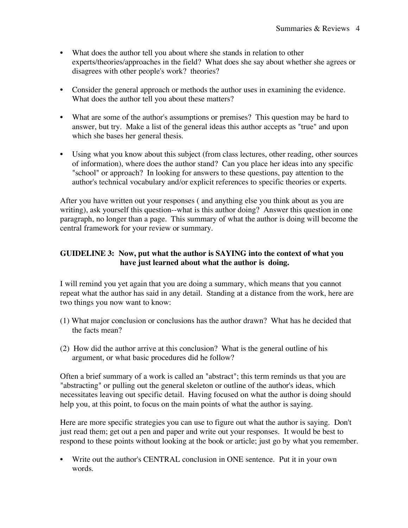- What does the author tell you about where she stands in relation to other experts/theories/approaches in the field? What does she say about whether she agrees or disagrees with other people's work? theories?
- Consider the general approach or methods the author uses in examining the evidence. What does the author tell you about these matters?
- What are some of the author's assumptions or premises? This question may be hard to answer, but try. Make a list of the general ideas this author accepts as "true" and upon which she bases her general thesis.
- Using what you know about this subject (from class lectures, other reading, other sources of information), where does the author stand? Can you place her ideas into any specific "school" or approach? In looking for answers to these questions, pay attention to the author's technical vocabulary and/or explicit references to specific theories or experts.

After you have written out your responses ( and anything else you think about as you are writing), ask yourself this question--what is this author doing? Answer this question in one paragraph, no longer than a page. This summary of what the author is doing will become the central framework for your review or summary.

## **GUIDELINE 3: Now, put what the author is SAYING into the context of what you have just learned about what the author is doing.**

I will remind you yet again that you are doing a summary, which means that you cannot repeat what the author has said in any detail. Standing at a distance from the work, here are two things you now want to know:

- (1) What major conclusion or conclusions has the author drawn? What has he decided that the facts mean?
- (2) How did the author arrive at this conclusion? What is the general outline of his argument, or what basic procedures did he follow?

Often a brief summary of a work is called an "abstract"; this term reminds us that you are "abstracting" or pulling out the general skeleton or outline of the author's ideas, which necessitates leaving out specific detail. Having focused on what the author is doing should help you, at this point, to focus on the main points of what the author is saying.

Here are more specific strategies you can use to figure out what the author is saying. Don't just read them; get out a pen and paper and write out your responses. It would be best to respond to these points without looking at the book or article; just go by what you remember.

• Write out the author's CENTRAL conclusion in ONE sentence. Put it in your own words.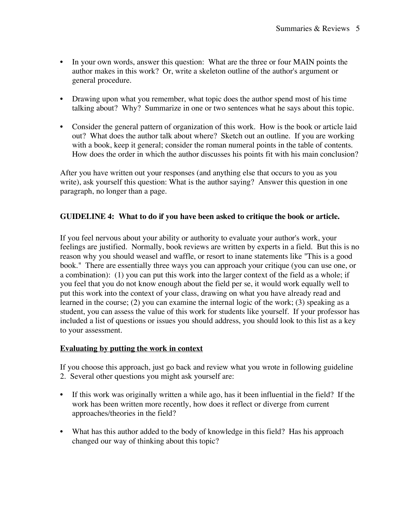- In your own words, answer this question: What are the three or four MAIN points the author makes in this work? Or, write a skeleton outline of the author's argument or general procedure.
- Drawing upon what you remember, what topic does the author spend most of his time talking about? Why? Summarize in one or two sentences what he says about this topic.
- Consider the general pattern of organization of this work. How is the book or article laid out? What does the author talk about where? Sketch out an outline. If you are working with a book, keep it general; consider the roman numeral points in the table of contents. How does the order in which the author discusses his points fit with his main conclusion?

After you have written out your responses (and anything else that occurs to you as you write), ask yourself this question: What is the author saying? Answer this question in one paragraph, no longer than a page.

## **GUIDELINE 4: What to do if you have been asked to critique the book or article.**

If you feel nervous about your ability or authority to evaluate your author's work, your feelings are justified. Normally, book reviews are written by experts in a field. But this is no reason why you should weasel and waffle, or resort to inane statements like "This is a good book." There are essentially three ways you can approach your critique (you can use one, or a combination): (1) you can put this work into the larger context of the field as a whole; if you feel that you do not know enough about the field per se, it would work equally well to put this work into the context of your class, drawing on what you have already read and learned in the course; (2) you can examine the internal logic of the work; (3) speaking as a student, you can assess the value of this work for students like yourself. If your professor has included a list of questions or issues you should address, you should look to this list as a key to your assessment.

#### **Evaluating by putting the work in context**

If you choose this approach, just go back and review what you wrote in following guideline 2. Several other questions you might ask yourself are:

- If this work was originally written a while ago, has it been influential in the field? If the work has been written more recently, how does it reflect or diverge from current approaches/theories in the field?
- What has this author added to the body of knowledge in this field? Has his approach changed our way of thinking about this topic?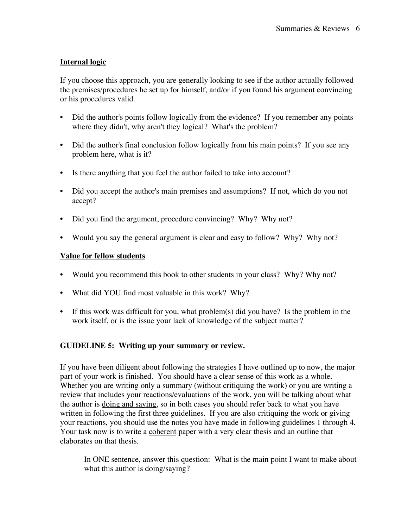## **Internal logic**

If you choose this approach, you are generally looking to see if the author actually followed the premises/procedures he set up for himself, and/or if you found his argument convincing or his procedures valid.

- Did the author's points follow logically from the evidence? If you remember any points where they didn't, why aren't they logical? What's the problem?
- Did the author's final conclusion follow logically from his main points? If you see any problem here, what is it?
- Is there anything that you feel the author failed to take into account?
- Did you accept the author's main premises and assumptions? If not, which do you not accept?
- Did you find the argument, procedure convincing? Why? Why not?
- Would you say the general argument is clear and easy to follow? Why? Why not?

## **Value for fellow students**

- Would you recommend this book to other students in your class? Why? Why not?
- What did YOU find most valuable in this work? Why?
- If this work was difficult for you, what problem(s) did you have? Is the problem in the work itself, or is the issue your lack of knowledge of the subject matter?

## **GUIDELINE 5: Writing up your summary or review.**

If you have been diligent about following the strategies I have outlined up to now, the major part of your work is finished. You should have a clear sense of this work as a whole. Whether you are writing only a summary (without critiquing the work) or you are writing a review that includes your reactions/evaluations of the work, you will be talking about what the author is doing and saying, so in both cases you should refer back to what you have written in following the first three guidelines. If you are also critiquing the work or giving your reactions, you should use the notes you have made in following guidelines 1 through 4. Your task now is to write a coherent paper with a very clear thesis and an outline that elaborates on that thesis.

In ONE sentence, answer this question: What is the main point I want to make about what this author is doing/saying?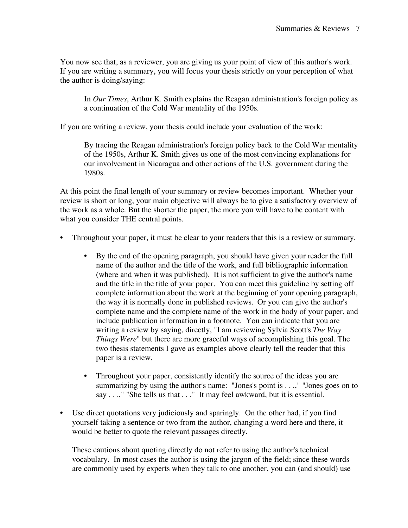You now see that, as a reviewer, you are giving us your point of view of this author's work. If you are writing a summary, you will focus your thesis strictly on your perception of what the author is doing/saying:

In *Our Times*, Arthur K. Smith explains the Reagan administration's foreign policy as a continuation of the Cold War mentality of the 1950s.

If you are writing a review, your thesis could include your evaluation of the work:

By tracing the Reagan administration's foreign policy back to the Cold War mentality of the 1950s, Arthur K. Smith gives us one of the most convincing explanations for our involvement in Nicaragua and other actions of the U.S. government during the 1980s.

At this point the final length of your summary or review becomes important. Whether your review is short or long, your main objective will always be to give a satisfactory overview of the work as a whole. But the shorter the paper, the more you will have to be content with what you consider THE central points.

- Throughout your paper, it must be clear to your readers that this is a review or summary.
	- By the end of the opening paragraph, you should have given your reader the full name of the author and the title of the work, and full bibliographic information (where and when it was published). It is not sufficient to give the author's name and the title in the title of your paper. You can meet this guideline by setting off complete information about the work at the beginning of your opening paragraph, the way it is normally done in published reviews. Or you can give the author's complete name and the complete name of the work in the body of your paper, and include publication information in a footnote. You can indicate that you are writing a review by saying, directly, "I am reviewing Sylvia Scott's *The Way Things Were*" but there are more graceful ways of accomplishing this goal. The two thesis statements I gave as examples above clearly tell the reader that this paper is a review.
	- Throughout your paper, consistently identify the source of the ideas you are summarizing by using the author's name: "Jones's point is . . .," "Jones goes on to say . . .," "She tells us that . . ." It may feel awkward, but it is essential.
- Use direct quotations very judiciously and sparingly. On the other had, if you find yourself taking a sentence or two from the author, changing a word here and there, it would be better to quote the relevant passages directly.

These cautions about quoting directly do not refer to using the author's technical vocabulary. In most cases the author is using the jargon of the field; since these words are commonly used by experts when they talk to one another, you can (and should) use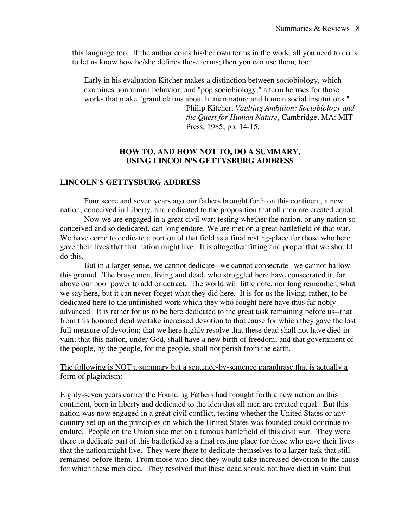this language too. If the author coins his/her own terms in the work, all you need to do is to let us know how he/she defines these terms; then you can use them, too.

Early in his evaluation Kitcher makes a distinction between sociobiology, which examines nonhuman behavior, and "pop sociobiology," a term he uses for those works that make "grand claims about human nature and human social institutions."

Philip Kitcher, *Vaulting Ambition: Sociobiology and the Quest for Human Nature*, Cambridge, MA: MIT Press, 1985, pp. 14-15.

#### **HOW TO, AND HOW NOT TO, DO A SUMMARY, USING LINCOLN'S GETTYSBURG ADDRESS**

#### **LINCOLN'S GETTYSBURG ADDRESS**

Four score and seven years ago our fathers brought forth on this continent, a new nation, conceived in Liberty, and dedicated to the proposition that all men are created equal.

Now we are engaged in a great civil war; testing whether the nation, or any nation so conceived and so dedicated, can long endure. We are met on a great battlefield of that war. We have come to dedicate a portion of that field as a final resting-place for those who here gave their lives that that nation might live. It is altogether fitting and proper that we should do this.

But in a larger sense, we cannot dedicate--we cannot consecrate--we cannot hallow- this ground. The brave men, living and dead, who struggled here have consecrated it, far above our poor power to add or detract. The world will little note, nor long remember, what we say here, but it can never forget what they did here. It is for us the living, rather, to be dedicated here to the unfinished work which they who fought here have thus far nobly advanced. It is rather for us to be here dedicated to the great task remaining before us--that from this honored dead we take increased devotion to that cause for which they gave the last full measure of devotion; that we here highly resolve that these dead shall not have died in vain; that this nation, under God, shall have a new birth of freedom; and that government of the people, by the people, for the people, shall not perish from the earth.

### The following is NOT a summary but a sentence-by-sentence paraphrase that is actually a form of plagiarism:

Eighty-seven years earlier the Founding Fathers had brought forth a new nation on this continent, born in liberty and dedicated to the idea that all men are created equal. But this nation was now engaged in a great civil conflict, testing whether the United States or any country set up on the principles on which the United States was founded could continue to endure. People on the Union side met on a famous battlefield of this civil war. They were there to dedicate part of this battlefield as a final resting place for those who gave their lives that the nation might live. They were there to dedicate themselves to a larger task that still remained before them. From those who died they would take increased devotion to the cause for which these men died. They resolved that these dead should not have died in vain; that